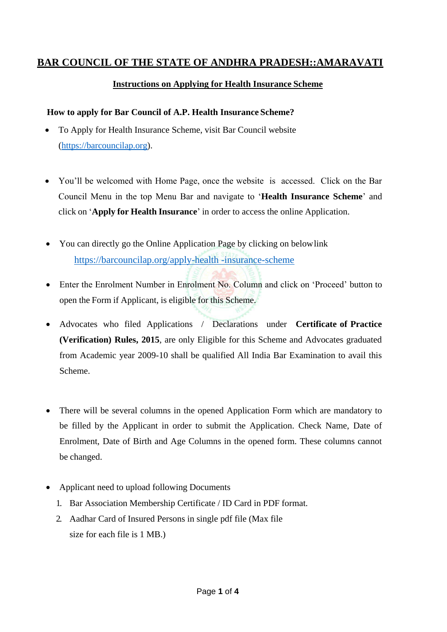# **BAR COUNCIL OF THE STATE OF ANDHRA PRADESH::AMARAVATI**

## **Instructions on Applying for Health Insurance Scheme**

#### **How to apply for Bar Council of A.P. Health Insurance Scheme?**

- To Apply for Health Insurance Scheme, visit Bar Council website [\(https://barcouncilap.org\)](https://barcouncilap.org/).
- You'll be welcomed with Home Page, once the website is accessed. Click on the Bar Council Menu in the top Menu Bar and navigate to '**Health Insurance Scheme**' and click on '**Apply for Health Insurance**' in order to access the online Application.
- You can directly go the Online Application Page by clicking on below link [https://barcouncilap.org/a](https://barcouncilap.org/bar-council-of-andhra-pradesh-loan-scheme)pply-health -insurance-scheme
- Enter the Enrolment Number in Enrolment No. Column and click on 'Proceed' button to open the Form if Applicant, is eligible for this Scheme.
- Advocates who filed Applications / Declarations under **Certificate of Practice (Verification) Rules, 2015**, are only Eligible for this Scheme and Advocates graduated from Academic year 2009-10 shall be qualified All India Bar Examination to avail this Scheme.
- There will be several columns in the opened Application Form which are mandatory to be filled by the Applicant in order to submit the Application. Check Name, Date of Enrolment, Date of Birth and Age Columns in the opened form. These columns cannot be changed.
- Applicant need to upload following Documents
	- 1. Bar Association Membership Certificate / ID Card in PDF format.
	- 2. Aadhar Card of Insured Persons in single pdf file (Max file size for each file is 1 MB.)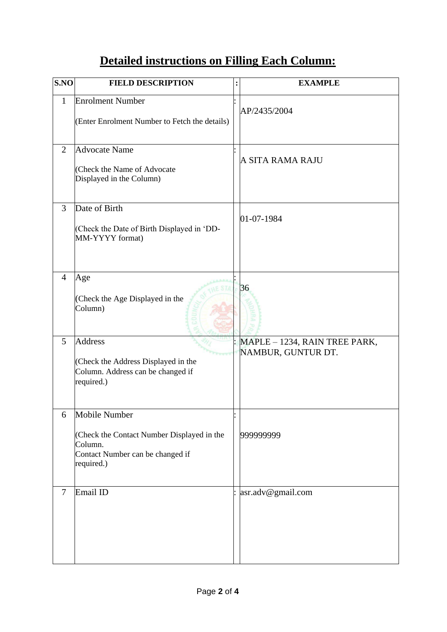# **Detailed instructions on Filling Each Column:**

| S.NO           | <b>FIELD DESCRIPTION</b>                                                                                                 | : | <b>EXAMPLE</b>                                      |
|----------------|--------------------------------------------------------------------------------------------------------------------------|---|-----------------------------------------------------|
| $\mathbf{1}$   | <b>Enrolment Number</b><br>(Enter Enrolment Number to Fetch the details)                                                 |   | AP/2435/2004                                        |
| 2              | <b>Advocate Name</b><br>(Check the Name of Advocate)<br>Displayed in the Column)                                         |   | A SITA RAMA RAJU                                    |
| 3              | Date of Birth<br>(Check the Date of Birth Displayed in 'DD-<br>MM-YYYY format)                                           |   | 01-07-1984                                          |
| $\overline{4}$ | Age<br>(Check the Age Displayed in the<br>Column)                                                                        |   | 36                                                  |
| 5              | <b>Address</b><br>(Check the Address Displayed in the<br>Column. Address can be changed if<br>required.)                 |   | MAPLE - 1234, RAIN TREE PARK,<br>NAMBUR, GUNTUR DT. |
| 6              | Mobile Number<br>(Check the Contact Number Displayed in the<br>Column.<br>Contact Number can be changed if<br>required.) |   | 999999999                                           |
| $\overline{7}$ | Email ID                                                                                                                 |   | asr.adv@gmail.com                                   |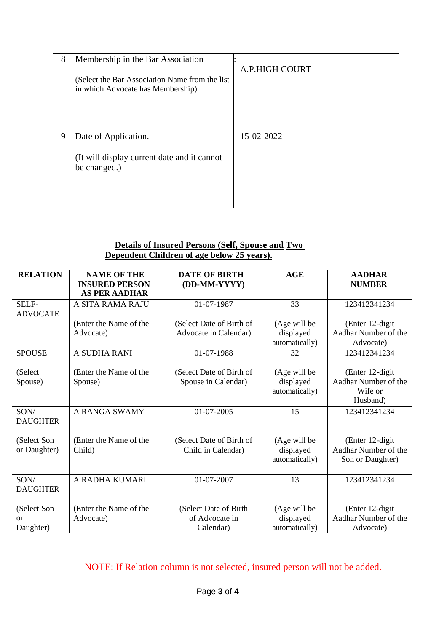| 8 | Membership in the Bar Association                                                    | A.P.HIGH COURT |
|---|--------------------------------------------------------------------------------------|----------------|
|   | (Select the Bar Association Name from the list)<br>in which Advocate has Membership) |                |
|   |                                                                                      |                |
| 9 | Date of Application.                                                                 | 15-02-2022     |
|   | (It will display current date and it cannot<br>be changed.)                          |                |

## **Details of Insured Persons (Self, Spouse and Two Dependent Children of age below 25 years).**

| <b>RELATION</b>                | <b>NAME OF THE</b><br><b>INSURED PERSON</b><br><b>AS PER AADHAR</b> | <b>DATE OF BIRTH</b><br>(DD-MM-YYYY)                 | AGE                                         | <b>AADHAR</b><br><b>NUMBER</b>                                  |
|--------------------------------|---------------------------------------------------------------------|------------------------------------------------------|---------------------------------------------|-----------------------------------------------------------------|
| SELF-<br><b>ADVOCATE</b>       | A SITA RAMA RAJU                                                    | 01-07-1987                                           | 33                                          | 123412341234                                                    |
|                                | (Enter the Name of the<br>Advocate)                                 | (Select Date of Birth of<br>Advocate in Calendar)    | (Age will be<br>displayed<br>automatically) | (Enter 12-digit)<br>Aadhar Number of the<br>Advocate)           |
| <b>SPOUSE</b>                  | A SUDHA RANI                                                        | 01-07-1988                                           | 32                                          | 123412341234                                                    |
| (Select<br>Spouse)             | (Enter the Name of the<br>Spouse)                                   | (Select Date of Birth of<br>Spouse in Calendar)      | (Age will be<br>displayed<br>automatically) | (Enter 12-digit)<br>Aadhar Number of the<br>Wife or<br>Husband) |
| SON/<br><b>DAUGHTER</b>        | A RANGA SWAMY                                                       | 01-07-2005                                           | 15                                          | 123412341234                                                    |
| (Select Son<br>or Daughter)    | (Enter the Name of the<br>Child)                                    | (Select Date of Birth of<br>Child in Calendar)       | (Age will be<br>displayed<br>automatically) | (Enter 12-digit<br>Aadhar Number of the<br>Son or Daughter)     |
| SON/<br><b>DAUGHTER</b>        | A RADHA KUMARI                                                      | 01-07-2007                                           | 13                                          | 123412341234                                                    |
| (Select Son<br>or<br>Daughter) | (Enter the Name of the<br>Advocate)                                 | (Select Date of Birth<br>of Advocate in<br>Calendar) | (Age will be<br>displayed<br>automatically) | (Enter 12-digit)<br>Aadhar Number of the<br>Advocate)           |

NOTE: If Relation column is not selected, insured person will not be added.